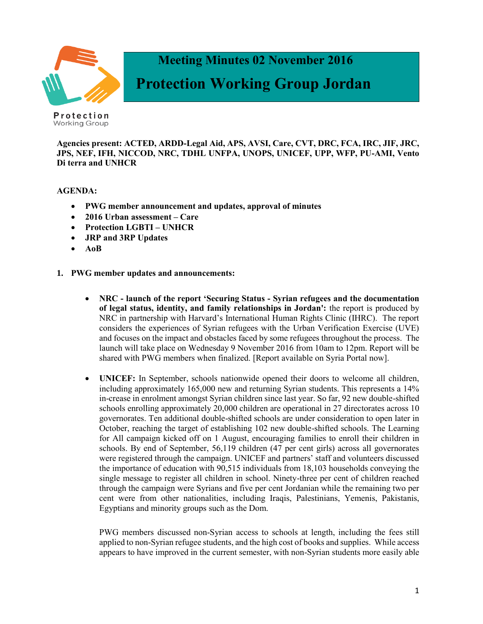

 **Meeting Minutes 02 November 2016**

# **Protection Working Group Jordan**

Protection Working Group

**Agencies present: ACTED, ARDD-Legal Aid, APS, AVSI, Care, CVT, DRC, FCA, IRC, JIF, JRC, JPS, NEF, IFH, NICCOD, NRC, TDHL UNFPA, UNOPS, UNICEF, UPP, WFP, PU-AMI, Vento Di terra and UNHCR**

**AGENDA:**

- **PWG member announcement and updates, approval of minutes**
- **2016 Urban assessment – Care**
- **Protection LGBTI – UNHCR**
- **JRP and 3RP Updates**
- **AoB**
- **1. PWG member updates and announcements:**
	- **NRC - launch of the report 'Securing Status - Syrian refugees and the documentation of legal status, identity, and family relationships in Jordan':** the report is produced by NRC in partnership with Harvard's International Human Rights Clinic (IHRC). The report considers the experiences of Syrian refugees with the Urban Verification Exercise (UVE) and focuses on the impact and obstacles faced by some refugees throughout the process. The launch will take place on Wednesday 9 November 2016 from 10am to 12pm. Report will be shared with PWG members when finalized. [Report available on Syria Portal now].
	- **UNICEF:** In September, schools nationwide opened their doors to welcome all children, including approximately 165,000 new and returning Syrian students. This represents a 14% in-crease in enrolment amongst Syrian children since last year. So far, 92 new double-shifted schools enrolling approximately 20,000 children are operational in 27 directorates across 10 governorates. Ten additional double-shifted schools are under consideration to open later in October, reaching the target of establishing 102 new double-shifted schools. The Learning for All campaign kicked off on 1 August, encouraging families to enroll their children in schools. By end of September, 56,119 children (47 per cent girls) across all governorates were registered through the campaign. UNICEF and partners' staff and volunteers discussed the importance of education with 90,515 individuals from 18,103 households conveying the single message to register all children in school. Ninety-three per cent of children reached through the campaign were Syrians and five per cent Jordanian while the remaining two per cent were from other nationalities, including Iraqis, Palestinians, Yemenis, Pakistanis, Egyptians and minority groups such as the Dom.

PWG members discussed non-Syrian access to schools at length, including the fees still applied to non-Syrian refugee students, and the high cost of books and supplies. While access appears to have improved in the current semester, with non-Syrian students more easily able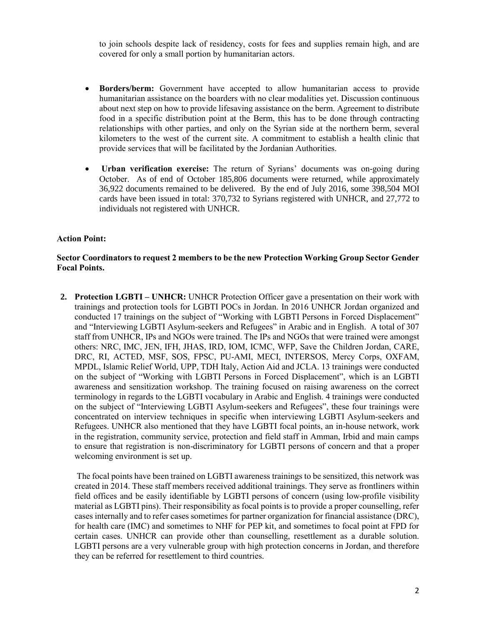to join schools despite lack of residency, costs for fees and supplies remain high, and are covered for only a small portion by humanitarian actors.

- **Borders/berm:** Government have accepted to allow humanitarian access to provide humanitarian assistance on the boarders with no clear modalities yet. Discussion continuous about next step on how to provide lifesaving assistance on the berm. Agreement to distribute food in a specific distribution point at the Berm, this has to be done through contracting relationships with other parties, and only on the Syrian side at the northern berm, several kilometers to the west of the current site. A commitment to establish a health clinic that provide services that will be facilitated by the Jordanian Authorities.
- **Urban verification exercise:** The return of Syrians' documents was on-going during October. As of end of October 185,806 documents were returned, while approximately 36,922 documents remained to be delivered. By the end of July 2016, some 398,504 MOI cards have been issued in total: 370,732 to Syrians registered with UNHCR, and 27,772 to individuals not registered with UNHCR.

### **Action Point:**

#### **Sector Coordinators to request 2 members to be the new Protection Working Group Sector Gender Focal Points.**

**2. Protection LGBTI – UNHCR:** UNHCR Protection Officer gave a presentation on their work with trainings and protection tools for LGBTI POCs in Jordan. In 2016 UNHCR Jordan organized and conducted 17 trainings on the subject of "Working with LGBTI Persons in Forced Displacement" and "Interviewing LGBTI Asylum-seekers and Refugees" in Arabic and in English. A total of 307 staff from UNHCR, IPs and NGOs were trained. The IPs and NGOs that were trained were amongst others: NRC, IMC, JEN, IFH, JHAS, IRD, IOM, ICMC, WFP, Save the Children Jordan, CARE, DRC, RI, ACTED, MSF, SOS, FPSC, PU-AMI, MECI, INTERSOS, Mercy Corps, OXFAM, MPDL, Islamic Relief World, UPP, TDH Italy, Action Aid and JCLA. 13 trainings were conducted on the subject of "Working with LGBTI Persons in Forced Displacement", which is an LGBTI awareness and sensitization workshop. The training focused on raising awareness on the correct terminology in regards to the LGBTI vocabulary in Arabic and English. 4 trainings were conducted on the subject of "Interviewing LGBTI Asylum-seekers and Refugees", these four trainings were concentrated on interview techniques in specific when interviewing LGBTI Asylum-seekers and Refugees. UNHCR also mentioned that they have LGBTI focal points, an in-house network, work in the registration, community service, protection and field staff in Amman, Irbid and main camps to ensure that registration is non-discriminatory for LGBTI persons of concern and that a proper welcoming environment is set up.

The focal points have been trained on LGBTI awareness trainings to be sensitized, this network was created in 2014. These staff members received additional trainings. They serve as frontliners within field offices and be easily identifiable by LGBTI persons of concern (using low-profile visibility material as LGBTI pins). Their responsibility as focal points is to provide a proper counselling, refer cases internally and to refer cases sometimes for partner organization for financial assistance (DRC), for health care (IMC) and sometimes to NHF for PEP kit, and sometimes to focal point at FPD for certain cases. UNHCR can provide other than counselling, resettlement as a durable solution. LGBTI persons are a very vulnerable group with high protection concerns in Jordan, and therefore they can be referred for resettlement to third countries.